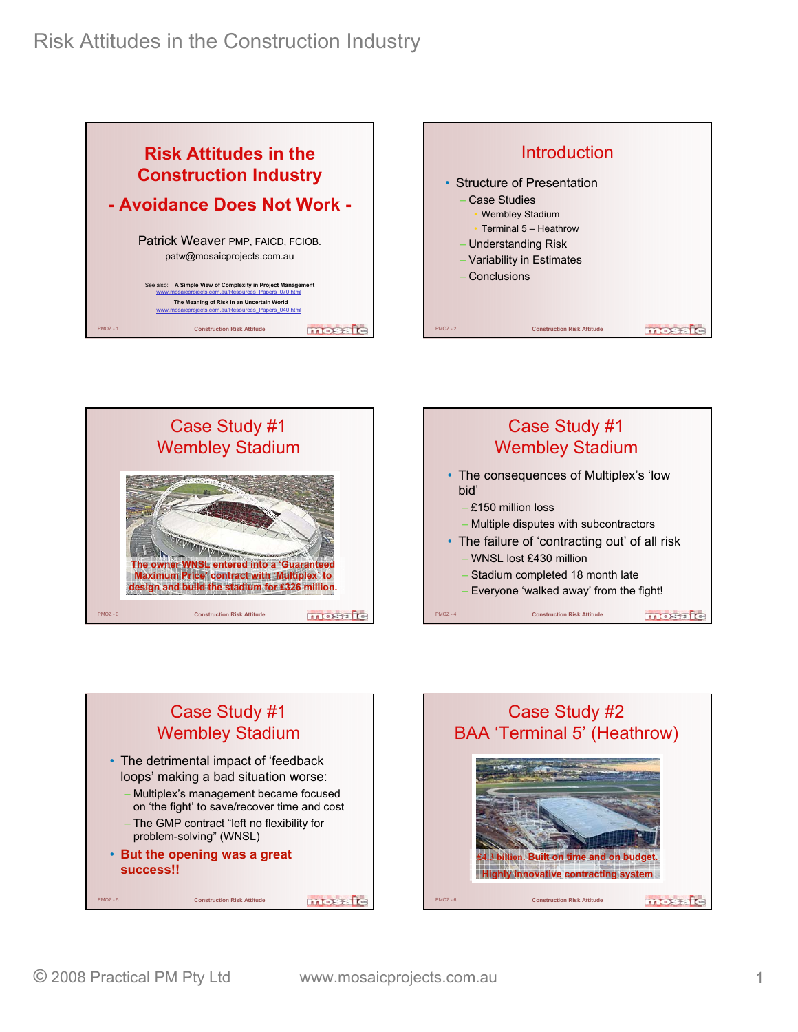







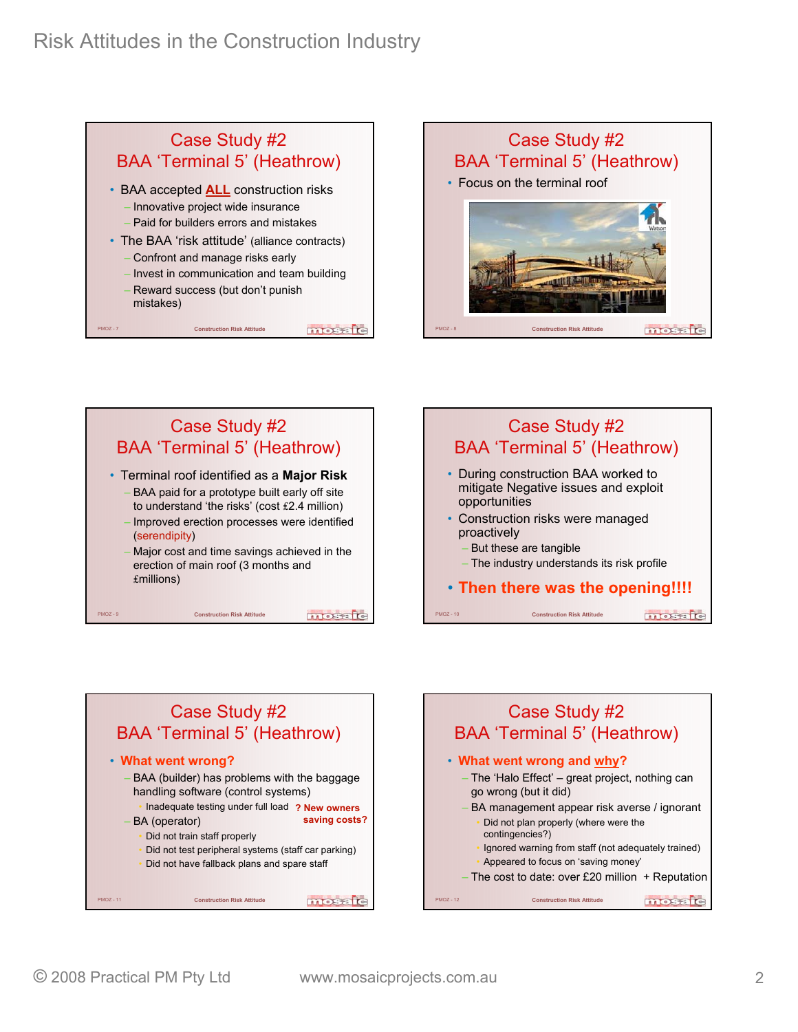









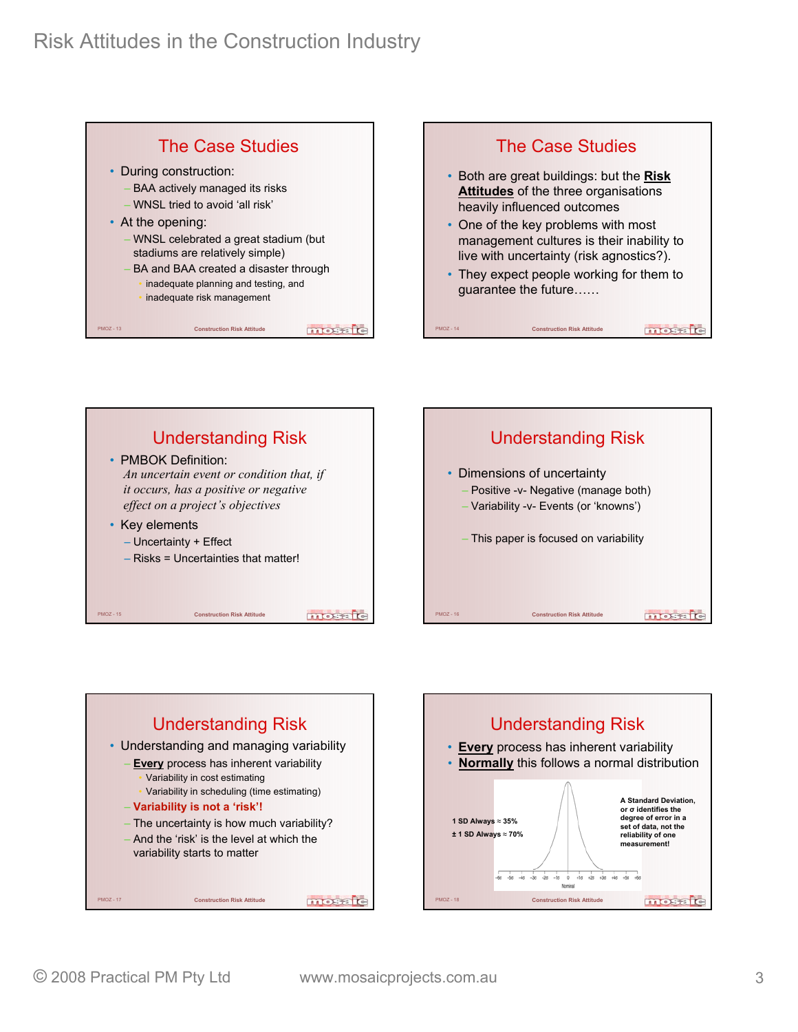









mosaic